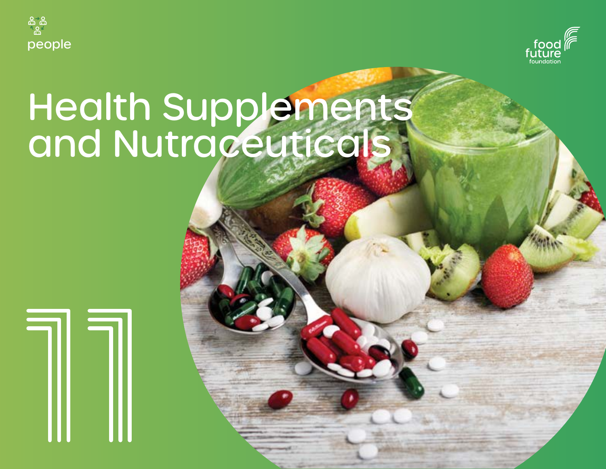



# Health Supplements and Nutraceuticals

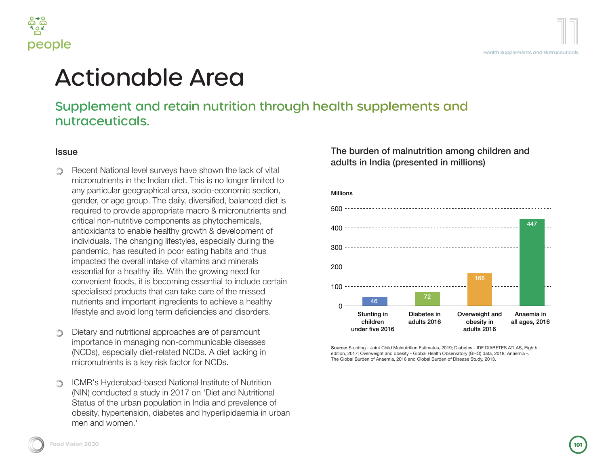

**Diske** 

# ctionable Area

#### pplement and retain nutrition through health supplements and raceuticals.

Recent National level surveys have shown the lack of vital micronutrients in the Indian diet. This is no longer limited to any particular geographical area, socio-economic section, gender, or age group. The daily, diversified, balanced diet is equired to provide appropriate macro & micronutrients and tritical non-nutritive components as phytochemicals, antioxidants to enable healthy growth & development of ndividuals. The changing lifestyles, especially during the pandemic, has resulted in poor eating habits and thus mpacted the overall intake of vitamins and minerals essential for a healthy life. With the growing need for convenient foods, it is becoming essential to include certain specialised products that can take care of the missed nutrients and important ingredients to achieve a healthy festyle and avoid long term deficiencies and disorders.

Dietary and nutritional approaches are of paramount mportance in managing non-communicable diseases NCDs), especially diet-related NCDs. A diet lacking in micronutrients is a key risk factor for NCDs.

ICMR's Hyderabad-based National Institute of Nutrition NIN) conducted a study in 2017 on 'Diet and Nutritional Status of the urban population in India and prevalence of bbesity, hypertension, diabetes and hyperlipidaemia in urban men and women.'

The burden of malnutrition among children and adults in India (presented in millions)



Source: Stunting - Joint Child Malnutrition Estimates, 2019; Diabetes - IDF DIABETES ATLAS, Eighth edition, 2017; Overweight and obesity - Global Health Observatory (GHO) data, 2018; Anaemia -. The Global Burden of Anaemia, 2016 and Global Burden of Disease Study, 2013.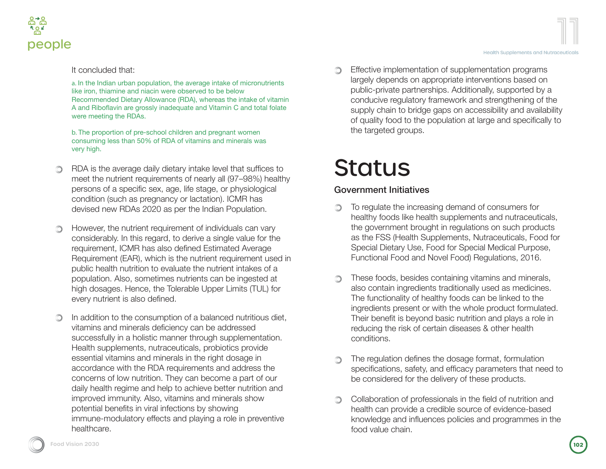

It concluded that:

a. In the Indian urban population, the average intake of micronutrients like iron, thiamine and niacin were observed to be below Recommended Dietary Allowance (RDA), whereas the intake of vitamin A and Riboflavin are grossly inadequate and Vitamin C and total folate were meeting the RDAs.

b. The proportion of pre-school children and pregnant women consuming less than 50% of RDA of vitamins and minerals was very high.

- RDA is the average daily dietary intake level that suffices to ⊙ meet the nutrient requirements of nearly all (97–98%) healthy persons of a specific sex, age, life stage, or physiological condition (such as pregnancy or lactation). ICMR has devised new RDAs 2020 as per the Indian Population.
- However, the nutrient requirement of individuals can vary O. considerably. In this regard, to derive a single value for the requirement, ICMR has also defined Estimated Average Requirement (EAR), which is the nutrient requirement used in public health nutrition to evaluate the nutrient intakes of a population. Also, sometimes nutrients can be ingested at high dosages. Hence, the Tolerable Upper Limits (TUL) for every nutrient is also defined.
- ∩ In addition to the consumption of a balanced nutritious diet. vitamins and minerals deficiency can be addressed successfully in a holistic manner through supplementation. Health supplements, nutraceuticals, probiotics provide essential vitamins and minerals in the right dosage in accordance with the RDA requirements and address the concerns of low nutrition. They can become a part of our daily health regime and help to achieve better nutrition and improved immunity. Also, vitamins and minerals show potential benefits in viral infections by showing immune-modulatory effects and playing a role in preventive healthcare.

Effective implementation of supplementation programs largely depends on appropriate interventions based on public-private partnerships. Additionally, supported by a conducive regulatory framework and strengthening of the supply chain to bridge gaps on accessibility and availability of quality food to the population at large and specifically to the targeted groups.

## **Status**

#### Government Initiatives

- To regulate the increasing demand of consumers for ∩ healthy foods like health supplements and nutraceuticals, the government brought in regulations on such products as the FSS (Health Supplements, Nutraceuticals, Food for Special Dietary Use, Food for Special Medical Purpose, Functional Food and Novel Food) Regulations, 2016.
- These foods, besides containing vitamins and minerals, also contain ingredients traditionally used as medicines. The functionality of healthy foods can be linked to the ingredients present or with the whole product formulated. Their benefit is beyond basic nutrition and plays a role in reducing the risk of certain diseases & other health conditions.
- The regulation defines the dosage format, formulation specifications, safety, and efficacy parameters that need to be considered for the delivery of these products.
- n. Collaboration of professionals in the field of nutrition and health can provide a credible source of evidence-based knowledge and influences policies and programmes in the food value chain.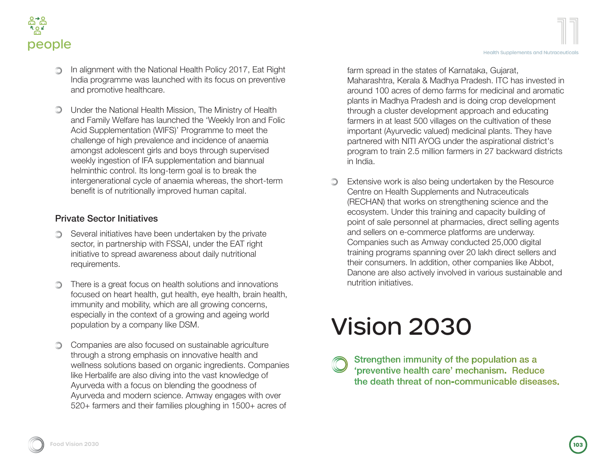

- In alignment with the National Health Policy 2017, Eat Right India programme was launched with its focus on preventive and promotive healthcare.
- Under the National Health Mission, The Ministry of Health and Family Welfare has launched the 'Weekly Iron and Folic Acid Supplementation (WIFS)' Programme to meet the challenge of high prevalence and incidence of anaemia amongst adolescent girls and boys through supervised weekly ingestion of IFA supplementation and biannual helminthic control. Its long-term goal is to break the intergenerational cycle of anaemia whereas, the short-term benefit is of nutritionally improved human capital.

#### Private Sector Initiatives

- Several initiatives have been undertaken by the private sector, in partnership with FSSAI, under the EAT right initiative to spread awareness about daily nutritional requirements.
- There is a great focus on health solutions and innovations focused on heart health, gut health, eye health, brain health, immunity and mobility, which are all growing concerns, especially in the context of a growing and ageing world population by a company like DSM.
- Companies are also focused on sustainable agriculture through a strong emphasis on innovative health and wellness solutions based on organic ingredients. Companies like Herbalife are also diving into the vast knowledge of Ayurveda with a focus on blending the goodness of Ayurveda and modern science. Amway engages with over 520+ farmers and their families ploughing in 1500+ acres of

farm spread in the states of Karnataka, Gujarat, Maharashtra, Kerala & Madhya Pradesh. ITC has invested in around 100 acres of demo farms for medicinal and aromatic plants in Madhya Pradesh and is doing crop development through a cluster development approach and educating farmers in at least 500 villages on the cultivation of these important (Ayurvedic valued) medicinal plants. They have partnered with NITI AYOG under the aspirational district's program to train 2.5 million farmers in 27 backward districts in India.

Extensive work is also being undertaken by the Resource ∩ Centre on Health Supplements and Nutraceuticals (RECHAN) that works on strengthening science and the ecosystem. Under this training and capacity building of point of sale personnel at pharmacies, direct selling agents and sellers on e-commerce platforms are underway. Companies such as Amway conducted 25,000 digital training programs spanning over 20 lakh direct sellers and their consumers. In addition, other companies like Abbot, Danone are also actively involved in various sustainable and nutrition initiatives.

# Vision 2030

Strengthen immunity of the population as a 'preventive health care' mechanism. Reduce the death threat of non-communicable diseases.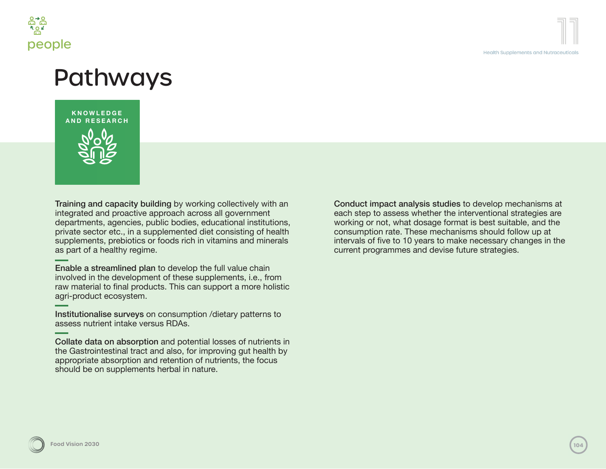

## Pathways



Training and capacity building by working collectively with an integrated and proactive approach across all government departments, agencies, public bodies, educational institutions, private sector etc., in a supplemented diet consisting of health supplements, prebiotics or foods rich in vitamins and minerals as part of a healthy regime.

Enable a streamlined plan to develop the full value chain involved in the development of these supplements, i.e., from raw material to final products. This can support a more holistic agri-product ecosystem.

Institutionalise surveys on consumption /dietary patterns to assess nutrient intake versus RDAs.

Collate data on absorption and potential losses of nutrients in the Gastrointestinal tract and also, for improving gut health by appropriate absorption and retention of nutrients, the focus should be on supplements herbal in nature.

Conduct impact analysis studies to develop mechanisms at each step to assess whether the interventional strategies are working or not, what dosage format is best suitable, and the consumption rate. These mechanisms should follow up at intervals of five to 10 years to make necessary changes in the current programmes and devise future strategies.